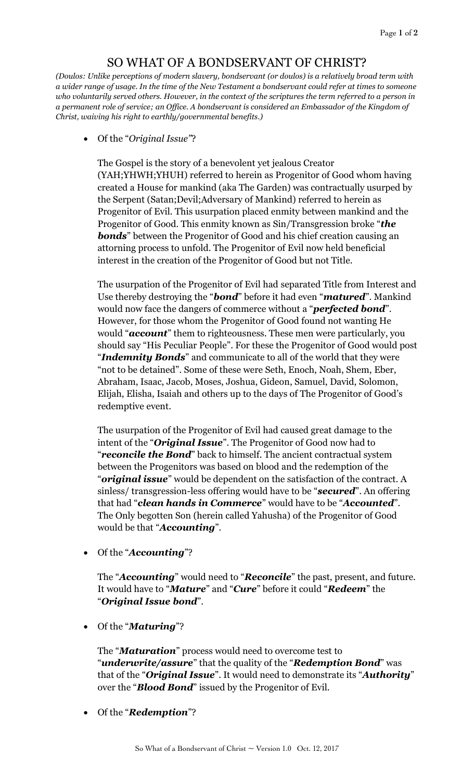## SO WHAT OF A BONDSERVANT OF CHRIST?

*(Doulos: Unlike perceptions of modern slavery, bondservant (or doulos) is a relatively broad term with a wider range of usage. In the time of the New Testament a bondservant could refer at times to someone who voluntarily served others. However, in the context of the scriptures the term referred to a person in a permanent role of service; an Office. A bondservant is considered an Embassador of the Kingdom of Christ, waiving his right to earthly/governmental benefits.)*

Of the "*Original Issue"*?

The Gospel is the story of a benevolent yet jealous Creator (YAH;YHWH;YHUH) referred to herein as Progenitor of Good whom having created a House for mankind (aka The Garden) was contractually usurped by the Serpent (Satan;Devil;Adversary of Mankind) referred to herein as Progenitor of Evil. This usurpation placed enmity between mankind and the Progenitor of Good. This enmity known as Sin/Transgression broke "*the*  **bonds**" between the Progenitor of Good and his chief creation causing an attorning process to unfold. The Progenitor of Evil now held beneficial interest in the creation of the Progenitor of Good but not Title.

The usurpation of the Progenitor of Evil had separated Title from Interest and Use thereby destroying the "*bond*" before it had even "*matured*". Mankind would now face the dangers of commerce without a "*perfected bond*". However, for those whom the Progenitor of Good found not wanting He would "*account*" them to righteousness. These men were particularly, you should say "His Peculiar People". For these the Progenitor of Good would post "*Indemnity Bonds*" and communicate to all of the world that they were "not to be detained". Some of these were Seth, Enoch, Noah, Shem, Eber, Abraham, Isaac, Jacob, Moses, Joshua, Gideon, Samuel, David, Solomon, Elijah, Elisha, Isaiah and others up to the days of The Progenitor of Good's redemptive event.

The usurpation of the Progenitor of Evil had caused great damage to the intent of the "*Original Issue*". The Progenitor of Good now had to "*reconcile the Bond*" back to himself. The ancient contractual system between the Progenitors was based on blood and the redemption of the "*original issue*" would be dependent on the satisfaction of the contract. A sinless/ transgression-less offering would have to be "*secured*". An offering that had "*clean hands in Commerce*" would have to be "*Accounted*". The Only begotten Son (herein called Yahusha) of the Progenitor of Good would be that "*Accounting*".

Of the "*Accounting*"?

The "*Accounting*" would need to "*Reconcile*" the past, present, and future. It would have to "*Mature*" and "*Cure*" before it could "*Redeem*" the "*Original Issue bond*".

Of the "*Maturing*"?

The "*Maturation*" process would need to overcome test to "*underwrite/assure*" that the quality of the "*Redemption Bond*" was that of the "*Original Issue*". It would need to demonstrate its "*Authority*" over the "*Blood Bond*" issued by the Progenitor of Evil.

Of the "*Redemption*"?